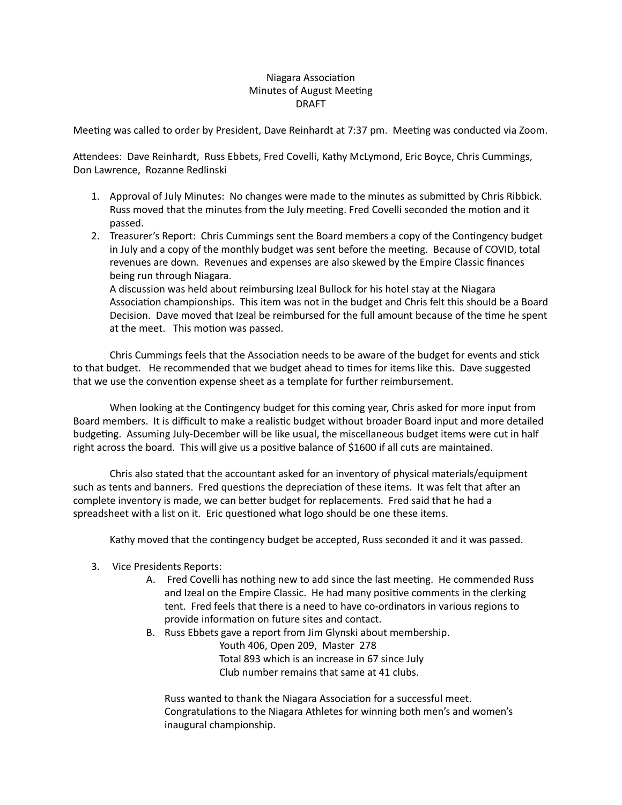# Niagara Association Minutes of August Meeting DRAFT

Meeting was called to order by President, Dave Reinhardt at 7:37 pm. Meeting was conducted via Zoom.

Attendees: Dave Reinhardt, Russ Ebbets, Fred Covelli, Kathy McLymond, Eric Boyce, Chris Cummings, Don Lawrence, Rozanne Redlinski

- 1. Approval of July Minutes: No changes were made to the minutes as submitted by Chris Ribbick. Russ moved that the minutes from the July meeting. Fred Covelli seconded the motion and it passed.
- 2. Treasurer's Report: Chris Cummings sent the Board members a copy of the Contingency budget in July and a copy of the monthly budget was sent before the meeting. Because of COVID, total revenues are down. Revenues and expenses are also skewed by the Empire Classic finances being run through Niagara.

A discussion was held about reimbursing Izeal Bullock for his hotel stay at the Niagara Association championships. This item was not in the budget and Chris felt this should be a Board Decision. Dave moved that Izeal be reimbursed for the full amount because of the time he spent at the meet. This motion was passed.

Chris Cummings feels that the Association needs to be aware of the budget for events and stick to that budget. He recommended that we budget ahead to times for items like this. Dave suggested that we use the convention expense sheet as a template for further reimbursement.

When looking at the Contingency budget for this coming year, Chris asked for more input from Board members. It is difficult to make a realistic budget without broader Board input and more detailed budgeting. Assuming July-December will be like usual, the miscellaneous budget items were cut in half right across the board. This will give us a positive balance of \$1600 if all cuts are maintained.

 Chris also stated that the accountant asked for an inventory of physical materials/equipment such as tents and banners. Fred questions the depreciation of these items. It was felt that after an complete inventory is made, we can better budget for replacements. Fred said that he had a spreadsheet with a list on it. Eric questioned what logo should be one these items.

Kathy moved that the contingency budget be accepted, Russ seconded it and it was passed.

- 3. Vice Presidents Reports:
	- A. Fred Covelli has nothing new to add since the last meeting. He commended Russ and Izeal on the Empire Classic. He had many positive comments in the clerking tent. Fred feels that there is a need to have co-ordinators in various regions to provide information on future sites and contact.
	- B. Russ Ebbets gave a report from Jim Glynski about membership.

 Youth 406, Open 209, Master 278 Total 893 which is an increase in 67 since July Club number remains that same at 41 clubs.

Russ wanted to thank the Niagara Association for a successful meet. Congratulations to the Niagara Athletes for winning both men's and women's inaugural championship.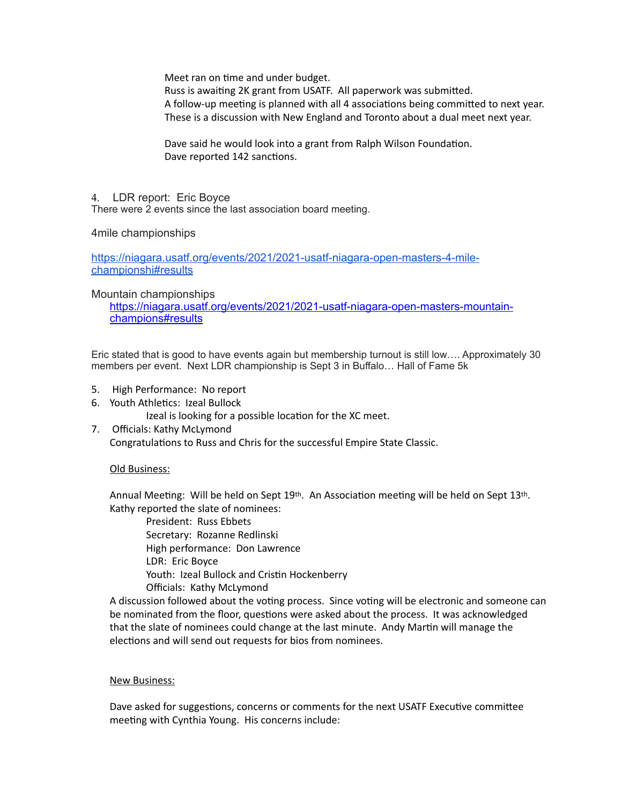Meet ran on time and under budget.

Russ is awaiting 2K grant from USATF. All paperwork was submitted. A follow-up meeting is planned with all 4 associations being committed to next year. These is a discussion with New England and Toronto about a dual meet next year.

Dave said he would look into a grant from Ralph Wilson Foundation. Dave reported 142 sanctions.

### 4. LDR report: Eric Boyce

There were 2 events since the last association board meeting.

### 4mile championships

[https://niagara.usatf.org/events/2021/2021-usatf-niagara-open-masters-4-mile](https://niagara.usatf.org/events/2021/2021-usatf-niagara-open-masters-4-mile-championshi#results)[championshi#results](https://niagara.usatf.org/events/2021/2021-usatf-niagara-open-masters-4-mile-championshi#results)

### Mountain championships

[https://niagara.usatf.org/events/2021/2021-usatf-niagara-open-masters-mountain](https://niagara.usatf.org/events/2021/2021-usatf-niagara-open-masters-mountain-champions#results)[champions#results](https://niagara.usatf.org/events/2021/2021-usatf-niagara-open-masters-mountain-champions#results)

Eric stated that is good to have events again but membership turnout is still low…. Approximately 30 members per event. Next LDR championship is Sept 3 in Buffalo… Hall of Fame 5k

- 5. High Performance: No report
- 6. Youth Athletics: Izeal Bullock

Izeal is looking for a possible location for the XC meet.

7. Officials: Kathy McLymond

Congratulations to Russ and Chris for the successful Empire State Classic.

# Old Business:

Annual Meeting: Will be held on Sept  $19th$ . An Association meeting will be held on Sept  $13th$ . Kathy reported the slate of nominees:

 President: Russ Ebbets Secretary: Rozanne Redlinski High performance: Don Lawrence LDR: Eric Boyce Youth: Izeal Bullock and Cristin Hockenberry Officials: Kathy McLymond

A discussion followed about the voting process. Since voting will be electronic and someone can be nominated from the floor, questions were asked about the process. It was acknowledged that the slate of nominees could change at the last minute. Andy Martin will manage the elections and will send out requests for bios from nominees.

#### New Business:

Dave asked for suggestions, concerns or comments for the next USATF Executive committee meeting with Cynthia Young. His concerns include: